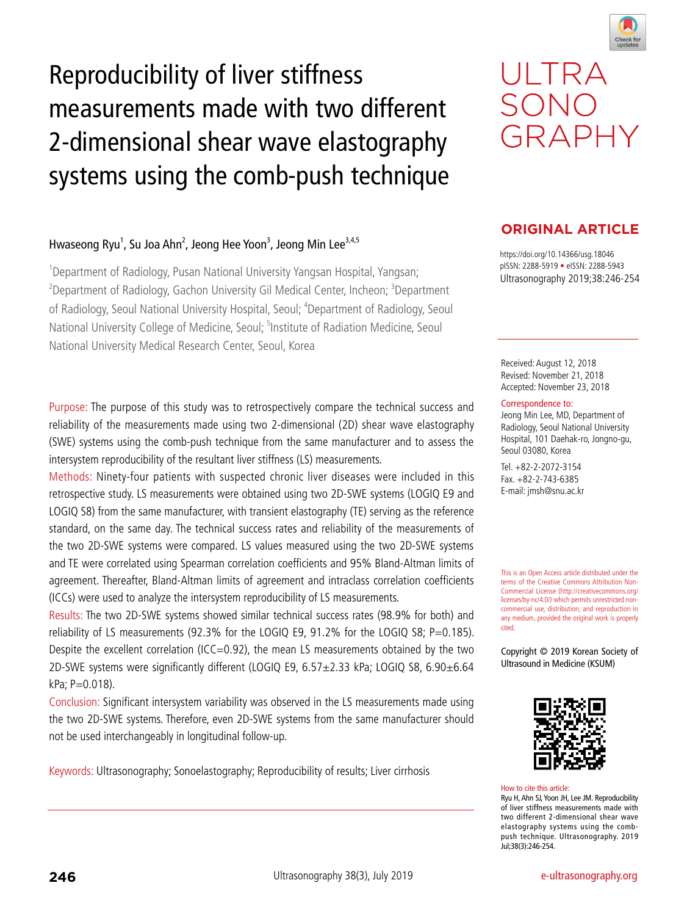

# Reproducibility of liver stiffness measurements made with two different 2-dimensional shear wave elastography systems using the comb-push technique

## Hwaseong Ryu<sup>1</sup>, Su Joa Ahn<sup>2</sup>, Jeong Hee Yoon<sup>3</sup>, Jeong Min Lee<sup>3,4,5</sup>

<sup>1</sup>Department of Radiology, Pusan National University Yangsan Hospital, Yangsan; <sup>2</sup>Department of Radiology, Gachon University Gil Medical Center, Incheon; <sup>3</sup>Department of Radiology, Seoul National University Hospital, Seoul; <sup>4</sup>Department of Radiology, Seoul National University College of Medicine, Seoul; <sup>5</sup>Institute of Radiation Medicine, Seoul National University Medical Research Center, Seoul, Korea

Purpose: The purpose of this study was to retrospectively compare the technical success and reliability of the measurements made using two 2-dimensional (2D) shear wave elastography (SWE) systems using the comb-push technique from the same manufacturer and to assess the intersystem reproducibility of the resultant liver stiffness (LS) measurements.

Methods: Ninety-four patients with suspected chronic liver diseases were included in this retrospective study. LS measurements were obtained using two 2D-SWE systems (LOGIQ E9 and LOGIQ S8) from the same manufacturer, with transient elastography (TE) serving as the reference standard, on the same day. The technical success rates and reliability of the measurements of the two 2D-SWE systems were compared. LS values measured using the two 2D-SWE systems and TE were correlated using Spearman correlation coefficients and 95% Bland-Altman limits of agreement. Thereafter, Bland-Altman limits of agreement and intraclass correlation coefficients (ICCs) were used to analyze the intersystem reproducibility of LS measurements.

Results: The two 2D-SWE systems showed similar technical success rates (98.9% for both) and reliability of LS measurements (92.3% for the LOGIQ E9, 91.2% for the LOGIQ S8; P=0.185). Despite the excellent correlation (ICC=0.92), the mean LS measurements obtained by the two 2D-SWE systems were significantly different (LOGIQ E9, 6.57±2.33 kPa; LOGIQ S8, 6.90±6.64 kPa; P=0.018).

Conclusion: Significant intersystem variability was observed in the LS measurements made using the two 2D-SWE systems. Therefore, even 2D-SWE systems from the same manufacturer should not be used interchangeably in longitudinal follow-up.

Keywords: Ultrasonography; Sonoelastography; Reproducibility of results; Liver cirrhosis

# ULTRA SONO GRAPHY

## **ORIGINAL ARTICLE**

https://doi.org/10.14366/usg.18046 pISSN: 2288-5919 • eISSN: 2288-5943 Ultrasonography 2019;38:246-254

Received: August 12, 2018 Revised: November 21, 2018 Accepted: November 23, 2018

#### Correspondence to:

Jeong Min Lee, MD, Department of Radiology, Seoul National University Hospital, 101 Daehak-ro, Jongno-gu, Seoul 03080, Korea

Tel. +82-2-2072-3154 Fax. +82-2-743-6385 E-mail: jmsh@snu.ac.kr

This is an Open Access article distributed under the terms of the Creative Commons Attribution Non-Commercial License (http://creativecommons.org/ licenses/by-nc/4.0/) which permits unrestricted noncommercial use, distribution, and reproduction in any medium, provided the original work is properly cited.

Copyright © 2019 Korean Society of Ultrasound in Medicine (KSUM)



#### How to cite this article:

Ryu H, Ahn SJ, Yoon JH, Lee JM. Reproducibility of liver stiffness measurements made with two different 2-dimensional shear wave elastography systems using the combpush technique. Ultrasonography. 2019 Jul;38(3):246-254.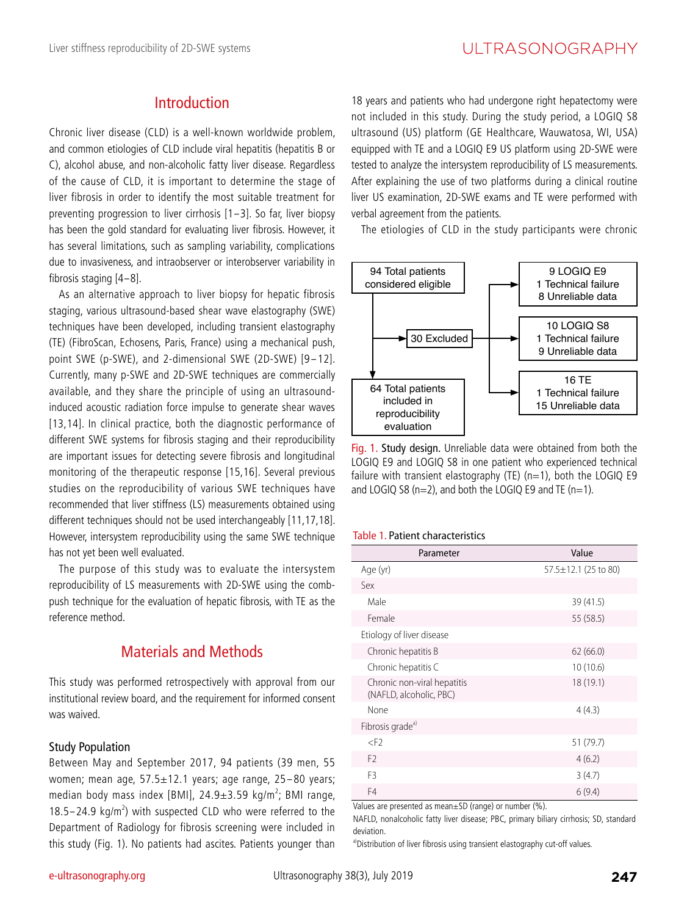## Introduction

Chronic liver disease (CLD) is a well-known worldwide problem, and common etiologies of CLD include viral hepatitis (hepatitis B or C), alcohol abuse, and non-alcoholic fatty liver disease. Regardless of the cause of CLD, it is important to determine the stage of liver fibrosis in order to identify the most suitable treatment for preventing progression to liver cirrhosis [1-3]. So far, liver biopsy has been the gold standard for evaluating liver fibrosis. However, it has several limitations, such as sampling variability, complications due to invasiveness, and intraobserver or interobserver variability in fibrosis staging [4-8].

As an alternative approach to liver biopsy for hepatic fibrosis staging, various ultrasound-based shear wave elastography (SWE) techniques have been developed, including transient elastography (TE) (FibroScan, Echosens, Paris, France) using a mechanical push, point SWE (p-SWE), and 2-dimensional SWE (2D-SWE) [9-12]. Currently, many p-SWE and 2D-SWE techniques are commercially available, and they share the principle of using an ultrasoundinduced acoustic radiation force impulse to generate shear waves [13,14]. In clinical practice, both the diagnostic performance of different SWE systems for fibrosis staging and their reproducibility are important issues for detecting severe fibrosis and longitudinal monitoring of the therapeutic response [15,16]. Several previous studies on the reproducibility of various SWE techniques have recommended that liver stiffness (LS) measurements obtained using different techniques should not be used interchangeably [11,17,18]. However, intersystem reproducibility using the same SWE technique has not yet been well evaluated.

The purpose of this study was to evaluate the intersystem reproducibility of LS measurements with 2D-SWE using the combpush technique for the evaluation of hepatic fibrosis, with TE as the reference method.

## Materials and Methods

This study was performed retrospectively with approval from our institutional review board, and the requirement for informed consent was waived.

#### Study Population

Between May and September 2017, 94 patients (39 men, 55 women; mean age, 57.5±12.1 years; age range, 25-80 years; median body mass index [BMI],  $24.9 \pm 3.59$  kg/m<sup>2</sup>; BMI range, median body mass mack [bini], 24.323.55 kg/m, bini range, 18.5–24.9 kg/m<sup>2</sup>) with suspected CLD who were referred to the Department of Radiology for fibrosis screening were included in this study (Fig. 1). No patients had ascites. Patients younger than

18 years and patients who had undergone right hepatectomy were not included in this study. During the study period, a LOGIQ S8 ultrasound (US) platform (GE Healthcare, Wauwatosa, WI, USA) equipped with TE and a LOGIQ E9 US platform using 2D-SWE were tested to analyze the intersystem reproducibility of LS measurements. After explaining the use of two platforms during a clinical routine liver US examination, 2D-SWE exams and TE were performed with verbal agreement from the patients.

The etiologies of CLD in the study participants were chronic



Fig. 1. Study design. Unreliable data were obtained from both the LOGIQ E9 and LOGIQ S8 in one patient who experienced technical failure with transient elastography (TE) ( $n=1$ ), both the LOGIQ E9 and LOGIQ S8 ( $n=2$ ), and both the LOGIQ E9 and TE ( $n=1$ ).

#### Table 1. Patient characteristics

| Parameter                                              | Value                      |
|--------------------------------------------------------|----------------------------|
| Age (yr)                                               | $57.5 \pm 12.1$ (25 to 80) |
| Sex                                                    |                            |
| Male                                                   | 39 (41.5)                  |
| Female                                                 | 55 (58.5)                  |
| Etiology of liver disease                              |                            |
| Chronic hepatitis B                                    | 62(66.0)                   |
| Chronic hepatitis C                                    | 10(10.6)                   |
| Chronic non-viral hepatitis<br>(NAFLD, alcoholic, PBC) | 18 (19.1)                  |
| None                                                   | 4(4.3)                     |
| Fibrosis grade <sup>a)</sup>                           |                            |
| $<$ F <sub>2</sub>                                     | 51 (79.7)                  |
| F <sub>2</sub>                                         | 4(6.2)                     |
| F <sub>3</sub>                                         | 3(4.7)                     |
| F4                                                     | 6(9.4)                     |

Values are presented as mean±SD (range) or number (%).

NAFLD, nonalcoholic fatty liver disease; PBC, primary biliary cirrhosis; SD, standard deviation.

a)Distribution of liver fibrosis using transient elastography cut-off values.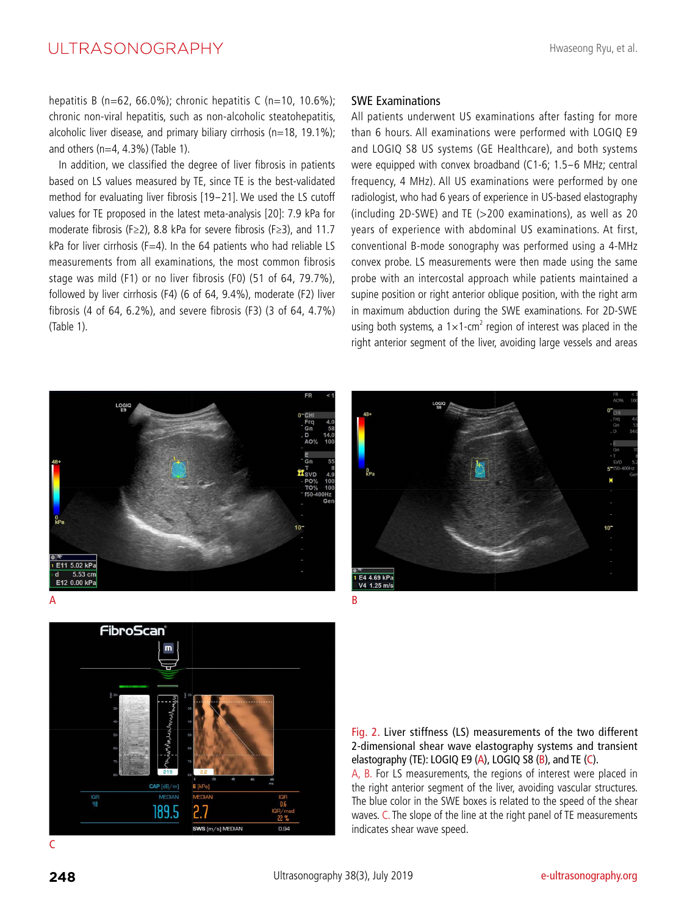## UI TRASONOGRAPHY

hepatitis B (n=62, 66.0%); chronic hepatitis C (n=10, 10.6%); chronic non-viral hepatitis, such as non-alcoholic steatohepatitis, alcoholic liver disease, and primary biliary cirrhosis ( $n=18$ , 19.1%); and others ( $n=4$ , 4.3%) (Table 1).

In addition, we classified the degree of liver fibrosis in patients based on LS values measured by TE, since TE is the best-validated method for evaluating liver fibrosis [19-21]. We used the LS cutoff values for TE proposed in the latest meta-analysis [20]: 7.9 kPa for moderate fibrosis (F≥2), 8.8 kPa for severe fibrosis (F≥3), and 11.7 kPa for liver cirrhosis (F=4). In the 64 patients who had reliable LS measurements from all examinations, the most common fibrosis stage was mild (F1) or no liver fibrosis (F0) (51 of 64, 79.7%), followed by liver cirrhosis (F4) (6 of 64, 9.4%), moderate (F2) liver fibrosis (4 of 64, 6.2%), and severe fibrosis (F3) (3 of 64, 4.7%) (Table 1).

#### SWE Examinations

All patients underwent US examinations after fasting for more than 6 hours. All examinations were performed with LOGIQ E9 and LOGIQ S8 US systems (GE Healthcare), and both systems were equipped with convex broadband (C1-6; 1.5-6 MHz; central frequency, 4 MHz). All US examinations were performed by one radiologist, who had 6 years of experience in US-based elastography (including 2D-SWE) and TE (>200 examinations), as well as 20 years of experience with abdominal US examinations. At first, conventional B-mode sonography was performed using a 4-MHz convex probe. LS measurements were then made using the same probe with an intercostal approach while patients maintained a supine position or right anterior oblique position, with the right arm in maximum abduction during the SWE examinations. For 2D-SWE using both systems, a  $1 \times 1$ -cm<sup>2</sup> region of interest was placed in the right anterior segment of the liver, avoiding large vessels and areas







Fig. 2. Liver stiffness (LS) measurements of the two different 2-dimensional shear wave elastography systems and transient elastography (TE): LOGIQ E9 (A), LOGIQ S8 (B), and TE (C).

A, B. For LS measurements, the regions of interest were placed in the right anterior segment of the liver, avoiding vascular structures. The blue color in the SWE boxes is related to the speed of the shear waves. C. The slope of the line at the right panel of TE measurements indicates shear wave speed.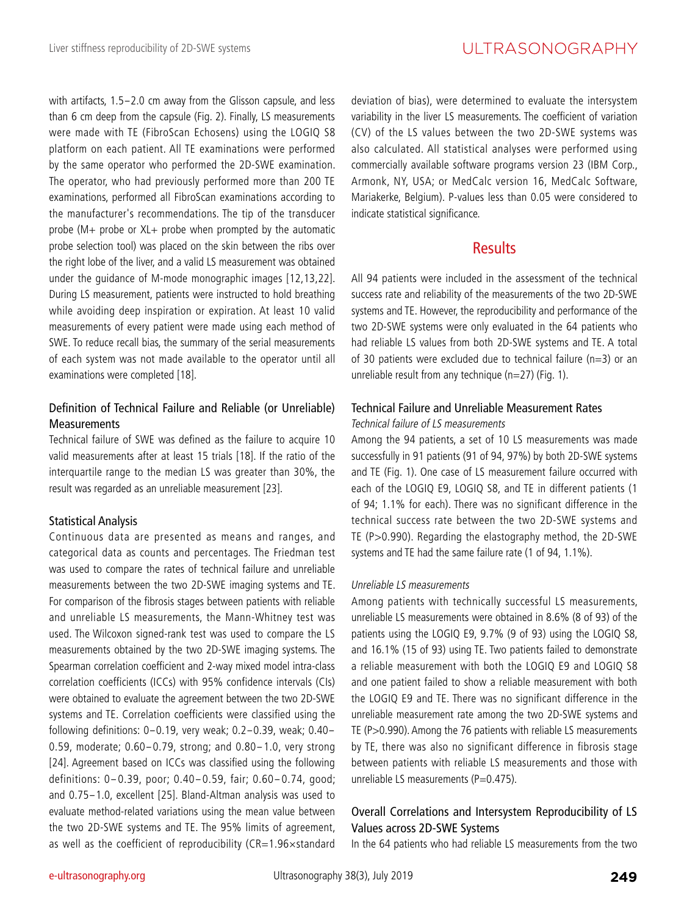with artifacts, 1.5-2.0 cm away from the Glisson capsule, and less than 6 cm deep from the capsule (Fig. 2). Finally, LS measurements were made with TE (FibroScan Echosens) using the LOGIQ S8 platform on each patient. All TE examinations were performed by the same operator who performed the 2D-SWE examination. The operator, who had previously performed more than 200 TE examinations, performed all FibroScan examinations according to the manufacturer's recommendations. The tip of the transducer probe (M+ probe or XL+ probe when prompted by the automatic probe selection tool) was placed on the skin between the ribs over the right lobe of the liver, and a valid LS measurement was obtained under the guidance of M-mode monographic images [12,13,22]. During LS measurement, patients were instructed to hold breathing while avoiding deep inspiration or expiration. At least 10 valid measurements of every patient were made using each method of SWE. To reduce recall bias, the summary of the serial measurements of each system was not made available to the operator until all examinations were completed [18].

## Definition of Technical Failure and Reliable (or Unreliable) **Measurements**

Technical failure of SWE was defined as the failure to acquire 10 valid measurements after at least 15 trials [18]. If the ratio of the interquartile range to the median LS was greater than 30%, the result was regarded as an unreliable measurement [23].

## Statistical Analysis

Continuous data are presented as means and ranges, and categorical data as counts and percentages. The Friedman test was used to compare the rates of technical failure and unreliable measurements between the two 2D-SWE imaging systems and TE. For comparison of the fibrosis stages between patients with reliable and unreliable LS measurements, the Mann-Whitney test was used. The Wilcoxon signed-rank test was used to compare the LS measurements obtained by the two 2D-SWE imaging systems. The Spearman correlation coefficient and 2-way mixed model intra-class correlation coefficients (ICCs) with 95% confidence intervals (CIs) were obtained to evaluate the agreement between the two 2D-SWE systems and TE. Correlation coefficients were classified using the following definitions: 0-0.19, very weak; 0.2-0.39, weak; 0.40- 0.59, moderate; 0.60-0.79, strong; and 0.80-1.0, very strong [24]. Agreement based on ICCs was classified using the following definitions: 0-0.39, poor; 0.40-0.59, fair; 0.60-0.74, good; and 0.75-1.0, excellent [25]. Bland-Altman analysis was used to evaluate method-related variations using the mean value between the two 2D-SWE systems and TE. The 95% limits of agreement, as well as the coefficient of reproducibility ( $CR=1.96\times$ standard

deviation of bias), were determined to evaluate the intersystem variability in the liver LS measurements. The coefficient of variation (CV) of the LS values between the two 2D-SWE systems was also calculated. All statistical analyses were performed using commercially available software programs version 23 (IBM Corp., Armonk, NY, USA; or MedCalc version 16, MedCalc Software, Mariakerke, Belgium). P-values less than 0.05 were considered to indicate statistical significance.

## Results

All 94 patients were included in the assessment of the technical success rate and reliability of the measurements of the two 2D-SWE systems and TE. However, the reproducibility and performance of the two 2D-SWE systems were only evaluated in the 64 patients who had reliable LS values from both 2D-SWE systems and TE. A total of 30 patients were excluded due to technical failure ( $n=3$ ) or an unreliable result from any technique ( $n=27$ ) (Fig. 1).

#### Technical Failure and Unreliable Measurement Rates Technical failure of LS measurements

Among the 94 patients, a set of 10 LS measurements was made successfully in 91 patients (91 of 94, 97%) by both 2D-SWE systems and TE (Fig. 1). One case of LS measurement failure occurred with each of the LOGIQ E9, LOGIQ S8, and TE in different patients (1 of 94; 1.1% for each). There was no significant difference in the technical success rate between the two 2D-SWE systems and TE (P>0.990). Regarding the elastography method, the 2D-SWE systems and TE had the same failure rate (1 of 94, 1.1%).

#### Unreliable LS measurements

Among patients with technically successful LS measurements, unreliable LS measurements were obtained in 8.6% (8 of 93) of the patients using the LOGIQ E9, 9.7% (9 of 93) using the LOGIQ S8, and 16.1% (15 of 93) using TE. Two patients failed to demonstrate a reliable measurement with both the LOGIQ E9 and LOGIQ S8 and one patient failed to show a reliable measurement with both the LOGIQ E9 and TE. There was no significant difference in the unreliable measurement rate among the two 2D-SWE systems and TE (P>0.990). Among the 76 patients with reliable LS measurements by TE, there was also no significant difference in fibrosis stage between patients with reliable LS measurements and those with unreliable LS measurements ( $P=0.475$ ).

## Overall Correlations and Intersystem Reproducibility of LS Values across 2D-SWE Systems

In the 64 patients who had reliable LS measurements from the two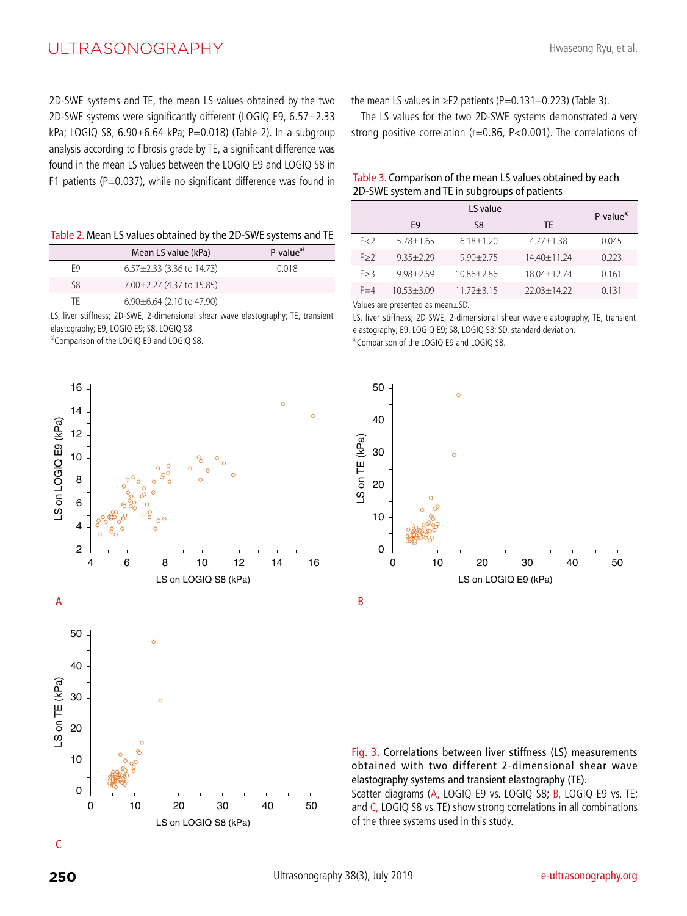## ULTRASONOGRAPHY

2D-SWE systems and TE, the mean LS values obtained by the two 2D-SWE systems were significantly different (LOGIQ E9, 6.57±2.33 kPa; LOGIQ S8,  $6.90 \pm 6.64$  kPa; P=0.018) (Table 2). In a subgroup analysis according to fibrosis grade by TE, a significant difference was found in the mean LS values between the LOGIQ E9 and LOGIQ S8 in F1 patients (P=0.037), while no significant difference was found in

Table 2. Mean LS values obtained by the 2D-SWE systems and TE

|    | Mean LS value (kPa)             | $P-valuea$ |
|----|---------------------------------|------------|
| F9 | $6.57 \pm 2.33$ (3.36 to 14.73) | 0.018      |
| S8 | 7.00 ± 2.27 (4.37 to 15.85)     |            |
| TF | $6.90\pm6.64$ (2.10 to 47.90)   |            |

LS, liver stiffness; 2D-SWE, 2-dimensional shear wave elastography; TE, transient elastography; E9, LOGIQ E9; S8, LOGIQ S8.

a)Comparison of the LOGIQ E9 and LOGIQ S8.



LS on LOGIQ S8 (kPa) 0 10 20 30 40 50 the mean LS values in  $\geq$ F2 patients (P=0.131-0.223) (Table 3).

The LS values for the two 2D-SWE systems demonstrated a very strong positive correlation (r=0.86, P<0.001). The correlations of

#### Table 3. Comparison of the mean LS values obtained by each 2D-SWE system and TE in subgroups of patients

|         |               | LS value       |                 | $P-valuea)$ |
|---------|---------------|----------------|-----------------|-------------|
|         | F9            | S8             | TF              |             |
| F < 2   | $5.78 + 1.65$ | $6.18 + 1.20$  | $4.77 + 1.38$   | 0.045       |
| F > 2   | $935+779$     | $9.90 + 2.75$  | $14.40 + 11.24$ | 0.223       |
| F > 3   | $998 + 759$   | $10.86 + 2.86$ | $18.04 + 12.74$ | 0.161       |
| $F = 4$ | $1053 + 309$  | $11.72 + 3.15$ | $22.03 + 14.22$ | 0 1 3 1     |

Values are presented as mean±SD.

LS, liver stiffness; 2D-SWE, 2-dimensional shear wave elastography; TE, transient elastography; E9, LOGIQ E9; S8, LOGIQ S8; SD, standard deviation. a)Comparison of the LOGIQ E9 and LOGIQ S8.





Scatter diagrams (A, LOGIQ E9 vs. LOGIQ S8; B, LOGIQ E9 vs. TE; and C, LOGIQ S8 vs. TE) show strong correlations in all combinations of the three systems used in this study.

C

LS on TE (kPa)

S on TE (kPa)

50

40

30

20

10

0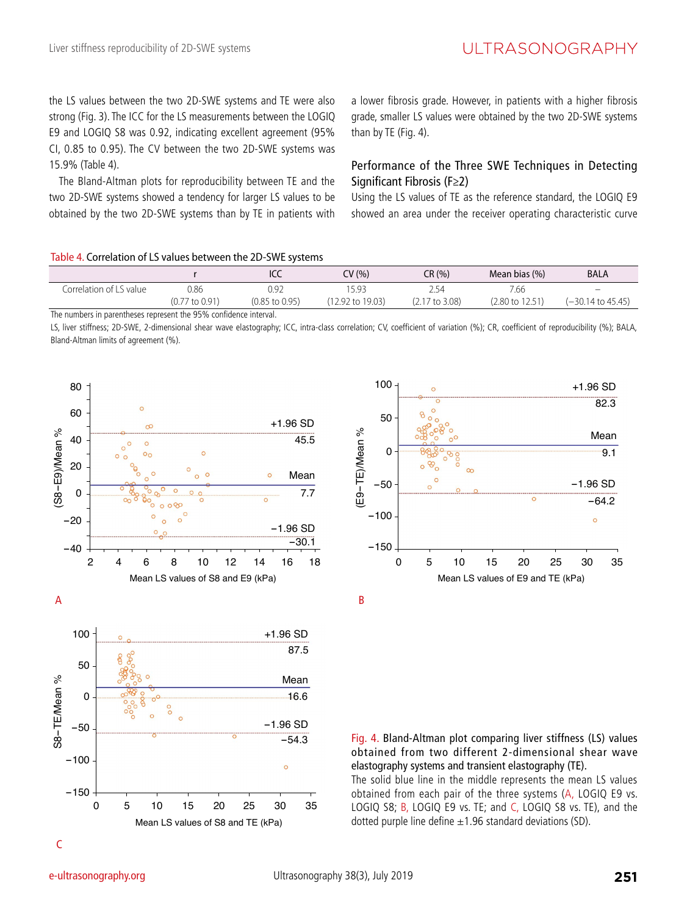the LS values between the two 2D-SWE systems and TE were also strong (Fig. 3). The ICC for the LS measurements between the LOGIQ E9 and LOGIQ S8 was 0.92, indicating excellent agreement (95% CI, 0.85 to 0.95). The CV between the two 2D-SWE systems was 15.9% (Table 4).

The Bland-Altman plots for reproducibility between TE and the two 2D-SWE systems showed a tendency for larger LS values to be obtained by the two 2D-SWE systems than by TE in patients with a lower fibrosis grade. However, in patients with a higher fibrosis grade, smaller LS values were obtained by the two 2D-SWE systems than by TE (Fig. 4).

## Performance of the Three SWE Techniques in Detecting Significant Fibrosis (F≥2)

Using the LS values of TE as the reference standard, the LOGIQ E9 showed an area under the receiver operating characteristic curve

#### Table 4. Correlation of LS values between the 2D-SWE systems

|                         |                           | ICC                       | CV (%)           | CR (%)         | Mean bias (%)   | <b>BALA</b>                  |
|-------------------------|---------------------------|---------------------------|------------------|----------------|-----------------|------------------------------|
| Correlation of LS value | 0.86                      | 0.92                      | 15.93            | −54ء           | 7.66            | $\overline{\phantom{0}}$     |
|                         | $(0.77 \text{ to } 0.91)$ | $(0.85 \text{ to } 0.95)$ | (12.92 to 19.03) | (2.17 to 3.08) | (2.80 to 12.51) | $(-30.14 \text{ to } 45.45)$ |
|                         |                           |                           |                  |                |                 |                              |

The numbers in parentheses represent the 95% confidence interval.

LS, liver stiffness; 2D-SWE, 2-dimensional shear wave elastography; ICC, intra-class correlation; CV, coefficient of variation (%); CR, coefficient of reproducibility (%); BALA, Bland-Altman limits of agreement (%).







B

Fig. 4. Bland-Altman plot comparing liver stiffness (LS) values obtained from two different 2-dimensional shear wave elastography systems and transient elastography (TE).

The solid blue line in the middle represents the mean LS values obtained from each pair of the three systems (A, LOGIQ E9 vs. LOGIQ S8; B, LOGIQ E9 vs. TE; and C, LOGIQ S8 vs. TE), and the dotted purple line define  $\pm 1.96$  standard deviations (SD).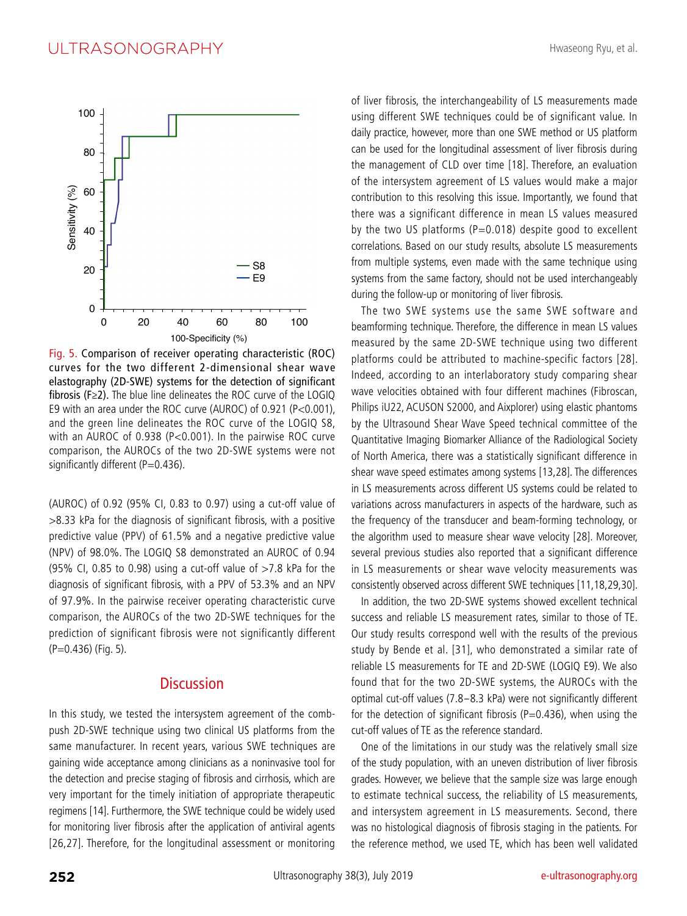

Fig. 5. Comparison of receiver operating characteristic (ROC) curves for the two different 2-dimensional shear wave elastography (2D-SWE) systems for the detection of significant fibrosis (F≥2). The blue line delineates the ROC curve of the LOGIQ E9 with an area under the ROC curve (AUROC) of 0.921 (P<0.001), and the green line delineates the ROC curve of the LOGIQ S8, with an AUROC of 0.938 (P<0.001). In the pairwise ROC curve comparison, the AUROCs of the two 2D-SWE systems were not significantly different ( $P=0.436$ ).

(AUROC) of 0.92 (95% CI, 0.83 to 0.97) using a cut-off value of >8.33 kPa for the diagnosis of significant fibrosis, with a positive predictive value (PPV) of 61.5% and a negative predictive value (NPV) of 98.0%. The LOGIQ S8 demonstrated an AUROC of 0.94 (95% CI, 0.85 to 0.98) using a cut-off value of  $>7.8$  kPa for the diagnosis of significant fibrosis, with a PPV of 53.3% and an NPV of 97.9%. In the pairwise receiver operating characteristic curve comparison, the AUROCs of the two 2D-SWE techniques for the prediction of significant fibrosis were not significantly different (P=0.436) (Fig. 5).

#### **Discussion**

In this study, we tested the intersystem agreement of the combpush 2D-SWE technique using two clinical US platforms from the same manufacturer. In recent years, various SWE techniques are gaining wide acceptance among clinicians as a noninvasive tool for the detection and precise staging of fibrosis and cirrhosis, which are very important for the timely initiation of appropriate therapeutic regimens [14]. Furthermore, the SWE technique could be widely used for monitoring liver fibrosis after the application of antiviral agents [26,27]. Therefore, for the longitudinal assessment or monitoring of liver fibrosis, the interchangeability of LS measurements made using different SWE techniques could be of significant value. In daily practice, however, more than one SWE method or US platform can be used for the longitudinal assessment of liver fibrosis during the management of CLD over time [18]. Therefore, an evaluation of the intersystem agreement of LS values would make a major contribution to this resolving this issue. Importantly, we found that there was a significant difference in mean LS values measured by the two US platforms ( $P=0.018$ ) despite good to excellent correlations. Based on our study results, absolute LS measurements from multiple systems, even made with the same technique using systems from the same factory, should not be used interchangeably during the follow-up or monitoring of liver fibrosis.

The two SWE systems use the same SWE software and beamforming technique. Therefore, the difference in mean LS values measured by the same 2D-SWE technique using two different platforms could be attributed to machine-specific factors [28]. Indeed, according to an interlaboratory study comparing shear wave velocities obtained with four different machines (Fibroscan, Philips iU22, ACUSON S2000, and Aixplorer) using elastic phantoms by the Ultrasound Shear Wave Speed technical committee of the Quantitative Imaging Biomarker Alliance of the Radiological Society of North America, there was a statistically significant difference in shear wave speed estimates among systems [13,28]. The differences in LS measurements across different US systems could be related to variations across manufacturers in aspects of the hardware, such as the frequency of the transducer and beam-forming technology, or the algorithm used to measure shear wave velocity [28]. Moreover, several previous studies also reported that a significant difference in LS measurements or shear wave velocity measurements was consistently observed across different SWE techniques [11,18,29,30].

In addition, the two 2D-SWE systems showed excellent technical success and reliable LS measurement rates, similar to those of TE. Our study results correspond well with the results of the previous study by Bende et al. [31], who demonstrated a similar rate of reliable LS measurements for TE and 2D-SWE (LOGIQ E9). We also found that for the two 2D-SWE systems, the AUROCs with the optimal cut-off values (7.8-8.3 kPa) were not significantly different for the detection of significant fibrosis (P=0.436), when using the cut-off values of TE as the reference standard.

One of the limitations in our study was the relatively small size of the study population, with an uneven distribution of liver fibrosis grades. However, we believe that the sample size was large enough to estimate technical success, the reliability of LS measurements, and intersystem agreement in LS measurements. Second, there was no histological diagnosis of fibrosis staging in the patients. For the reference method, we used TE, which has been well validated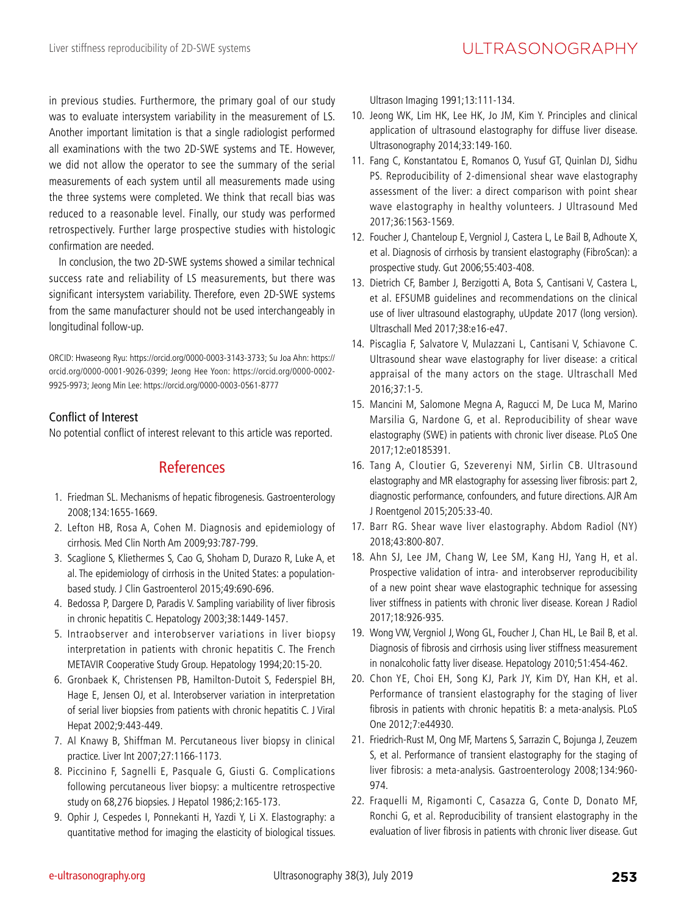in previous studies. Furthermore, the primary goal of our study was to evaluate intersystem variability in the measurement of LS. Another important limitation is that a single radiologist performed all examinations with the two 2D-SWE systems and TE. However, we did not allow the operator to see the summary of the serial measurements of each system until all measurements made using the three systems were completed. We think that recall bias was reduced to a reasonable level. Finally, our study was performed retrospectively. Further large prospective studies with histologic confirmation are needed.

In conclusion, the two 2D-SWE systems showed a similar technical success rate and reliability of LS measurements, but there was significant intersystem variability. Therefore, even 2D-SWE systems from the same manufacturer should not be used interchangeably in longitudinal follow-up.

ORCID: Hwaseong Ryu: https://orcid.org/0000-0003-3143-3733; Su Joa Ahn: https:// orcid.org/0000-0001-9026-0399; Jeong Hee Yoon: https://orcid.org/0000-0002- 9925-9973; Jeong Min Lee: https://orcid.org/0000-0003-0561-8777

## Conflict of Interest

No potential conflict of interest relevant to this article was reported.

## References

- 1. Friedman SL. Mechanisms of hepatic fibrogenesis. Gastroenterology 2008;134:1655-1669.
- 2. Lefton HB, Rosa A, Cohen M. Diagnosis and epidemiology of cirrhosis. Med Clin North Am 2009;93:787-799.
- 3. Scaglione S, Kliethermes S, Cao G, Shoham D, Durazo R, Luke A, et al. The epidemiology of cirrhosis in the United States: a populationbased study. J Clin Gastroenterol 2015;49:690-696.
- 4. Bedossa P, Dargere D, Paradis V. Sampling variability of liver fibrosis in chronic hepatitis C. Hepatology 2003;38:1449-1457.
- 5. Intraobserver and interobserver variations in liver biopsy interpretation in patients with chronic hepatitis C. The French METAVIR Cooperative Study Group. Hepatology 1994;20:15-20.
- 6. Gronbaek K, Christensen PB, Hamilton-Dutoit S, Federspiel BH, Hage E, Jensen OJ, et al. Interobserver variation in interpretation of serial liver biopsies from patients with chronic hepatitis C. J Viral Hepat 2002;9:443-449.
- 7. Al Knawy B, Shiffman M. Percutaneous liver biopsy in clinical practice. Liver Int 2007;27:1166-1173.
- 8. Piccinino F, Sagnelli E, Pasquale G, Giusti G. Complications following percutaneous liver biopsy: a multicentre retrospective study on 68,276 biopsies. J Hepatol 1986;2:165-173.
- 9. Ophir J, Cespedes I, Ponnekanti H, Yazdi Y, Li X. Elastography: a quantitative method for imaging the elasticity of biological tissues.

Ultrason Imaging 1991;13:111-134.

- 10. Jeong WK, Lim HK, Lee HK, Jo JM, Kim Y. Principles and clinical application of ultrasound elastography for diffuse liver disease. Ultrasonography 2014;33:149-160.
- 11. Fang C, Konstantatou E, Romanos O, Yusuf GT, Quinlan DJ, Sidhu PS. Reproducibility of 2-dimensional shear wave elastography assessment of the liver: a direct comparison with point shear wave elastography in healthy volunteers. J Ultrasound Med 2017;36:1563-1569.
- 12. Foucher J, Chanteloup E, Vergniol J, Castera L, Le Bail B, Adhoute X, et al. Diagnosis of cirrhosis by transient elastography (FibroScan): a prospective study. Gut 2006;55:403-408.
- 13. Dietrich CF, Bamber J, Berzigotti A, Bota S, Cantisani V, Castera L, et al. EFSUMB guidelines and recommendations on the clinical use of liver ultrasound elastography, uUpdate 2017 (long version). Ultraschall Med 2017;38:e16-e47.
- 14. Piscaglia F, Salvatore V, Mulazzani L, Cantisani V, Schiavone C. Ultrasound shear wave elastography for liver disease: a critical appraisal of the many actors on the stage. Ultraschall Med 2016;37:1-5.
- 15. Mancini M, Salomone Megna A, Ragucci M, De Luca M, Marino Marsilia G, Nardone G, et al. Reproducibility of shear wave elastography (SWE) in patients with chronic liver disease. PLoS One 2017;12:e0185391.
- 16. Tang A, Cloutier G, Szeverenyi NM, Sirlin CB. Ultrasound elastography and MR elastography for assessing liver fibrosis: part 2, diagnostic performance, confounders, and future directions. AJR Am J Roentgenol 2015;205:33-40.
- 17. Barr RG. Shear wave liver elastography. Abdom Radiol (NY) 2018;43:800-807.
- 18. Ahn SJ, Lee JM, Chang W, Lee SM, Kang HJ, Yang H, et al. Prospective validation of intra- and interobserver reproducibility of a new point shear wave elastographic technique for assessing liver stiffness in patients with chronic liver disease. Korean J Radiol 2017;18:926-935.
- 19. Wong VW, Vergniol J, Wong GL, Foucher J, Chan HL, Le Bail B, et al. Diagnosis of fibrosis and cirrhosis using liver stiffness measurement in nonalcoholic fatty liver disease. Hepatology 2010;51:454-462.
- 20. Chon YE, Choi EH, Song KJ, Park JY, Kim DY, Han KH, et al. Performance of transient elastography for the staging of liver fibrosis in patients with chronic hepatitis B: a meta-analysis. PLoS One 2012;7:e44930.
- 21. Friedrich-Rust M, Ong MF, Martens S, Sarrazin C, Bojunga J, Zeuzem S, et al. Performance of transient elastography for the staging of liver fibrosis: a meta-analysis. Gastroenterology 2008;134:960- 974.
- 22. Fraquelli M, Rigamonti C, Casazza G, Conte D, Donato MF, Ronchi G, et al. Reproducibility of transient elastography in the evaluation of liver fibrosis in patients with chronic liver disease. Gut